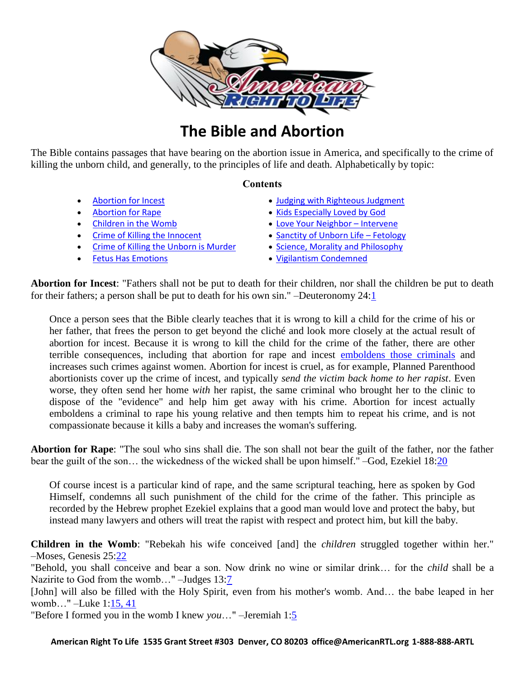

# **The Bible and Abortion**

The Bible contains passages that have bearing on the abortion issue in America, and specifically to the crime of killing the unborn child, and generally, to the principles of life and death. Alphabetically by topic:

#### **Contents**

- Abortion for Incest
- [Abortion for Rape](#page-0-0)
- [Children in the Womb](#page-0-1)
- [Crime of Killing the Innocent](#page-1-0)
- **[Crime of Killing the Unborn is Murder](#page-1-1)**
- [Fetus Has Emotions](#page-2-0)
- [Judging with Righteous Judgment](#page-2-1)
- [Kids Especially Loved by God](#page-3-0)
- [Love Your Neighbor](#page-2-1)  Intervene
- [Sanctity of Unborn Life](#page-3-1)  Fetology
- Science, Morality [and Philosophy](#page-4-0)
- Vigilantism [Condemned](#page-5-0)

**Abortion for Incest**: "Fathers shall not be put to death for their children, nor shall the children be put to death for their fathers; a person shall be put to death for his own sin." –Deuteronomy 24[:1](http://www.biblegateway.com/passage/?search=deut%2024:1&version=NKJV)

Once a person sees that the Bible clearly teaches that it is wrong to kill a child for the crime of his or her father, that frees the person to get beyond the cliché and look more closely at the actual result of abortion for incest. Because it is wrong to kill the child for the crime of the father, there are other terrible consequences, including that abortion for rape and incest [emboldens those criminals](http://americanrtl.org/rape) and increases such crimes against women. Abortion for incest is cruel, as for example, Planned Parenthood abortionists cover up the crime of incest, and typically *send the victim back home to her rapist*. Even worse, they often send her home *with* her rapist, the same criminal who brought her to the clinic to dispose of the "evidence" and help him get away with his crime. Abortion for incest actually emboldens a criminal to rape his young relative and then tempts him to repeat his crime, and is not compassionate because it kills a baby and increases the woman's suffering.

<span id="page-0-0"></span>**Abortion for Rape**: "The soul who sins shall die. The son shall not bear the guilt of the father, nor the father bear the guilt of the son... the wickedness of the wicked shall be upon himself." –God, Ezekiel 18[:20](http://www.biblegateway.com/passage/?search=ezekiel%2018:20&version=NKJV)

Of course incest is a particular kind of rape, and the same scriptural teaching, here as spoken by God Himself, condemns all such punishment of the child for the crime of the father. This principle as recorded by the Hebrew prophet Ezekiel explains that a good man would love and protect the baby, but instead many lawyers and others will treat the rapist with respect and protect him, but kill the baby.

<span id="page-0-1"></span>**Children in the Womb**: "Rebekah his wife conceived [and] the *children* struggled together within her." –Moses, Genesis 25[:22](http://www.biblegateway.com/passage/?search=gen%2025:22&version=NKJV)

"Behold, you shall conceive and bear a son. Now drink no wine or similar drink… for the *child* shall be a Nazirite to God from the womb…" –Judges 13[:7](http://www.biblegateway.com/passage/?search=judges%2013:7&version=NKJV)

[John] will also be filled with the Holy Spirit, even from his mother's womb. And... the babe leaped in her womb…" –Luke 1[:15, 41](http://www.biblegateway.com/passage/?search=luke%201:15,%2041&version=NKJV)

"Before I formed you in the womb I knew *you*…" –Jeremiah 1[:5](http://www.biblegateway.com/passage/?search=jeremiah%201:5&version=NKJV)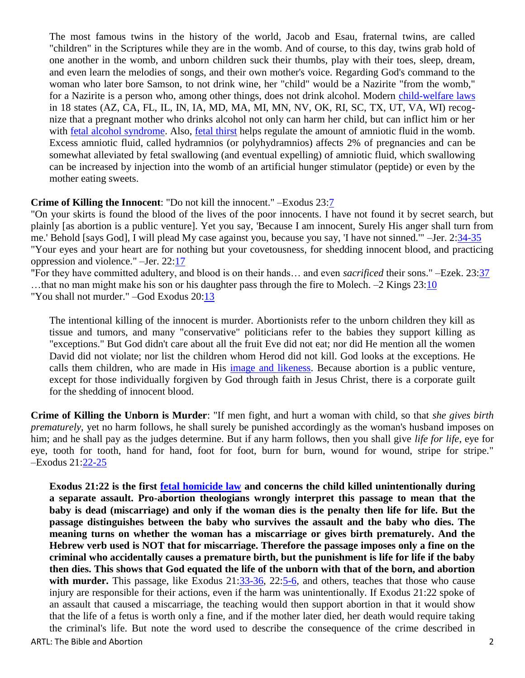The most famous twins in the history of the world, Jacob and Esau, fraternal twins, are called "children" in the Scriptures while they are in the womb. And of course, to this day, twins grab hold of one another in the womb, and unborn children suck their thumbs, play with their toes, sleep, dream, and even learn the melodies of songs, and their own mother's voice. Regarding God's command to the woman who later bore Samson, to not drink wine, her "child" would be a Nazirite "from the womb," for a Nazirite is a person who, among other things, does not drink alcohol. Modern [child-welfare laws](http://www.drugpolicy.org/library/governmental_response_p1.cfm#20) in 18 states (AZ, CA, FL, IL, IN, IA, MD, MA, MI, MN, NV, OK, RI, SC, TX, UT, VA, WI) recognize that a pregnant mother who drinks alcohol not only can harm her child, but can inflict him or her with [fetal alcohol syndrome.](http://preventchildabuse.com/fas.shtml) Also, [fetal thirst](http://rsx.sagepub.com/cgi/content/abstract/11/3/123) helps regulate the amount of amniotic fluid in the womb. Excess amniotic fluid, called hydramnios (or polyhydramnios) affects 2% of pregnancies and can be somewhat alleviated by fetal swallowing (and eventual expelling) of amniotic fluid, which swallowing can be increased by injection into the womb of an artificial hunger stimulator (peptide) or even by the mother eating sweets.

#### <span id="page-1-0"></span>**Crime of Killing the Innocent**: "Do not kill the innocent." –Exodus 23[:7](http://www.biblegateway.com/passage/?search=exodus%2023:7&version=NKJV)

"On your skirts is found the blood of the lives of the poor innocents. I have not found it by secret search, but plainly [as abortion is a public venture]. Yet you say, 'Because I am innocent, Surely His anger shall turn from me.' Behold [says God], I will plead My case against you, because you say, 'I have not sinned.'" –Jer. 2[:34-35](http://www.biblegateway.com/passage/?search=jer%202:34-35&version=NKJV) "Your eyes and your heart are for nothing but your covetousness, for shedding innocent blood, and practicing oppression and violence." –Jer. 22[:17](http://www.biblegateway.com/passage/?search=Jer%2022:17&version=NKJV)

"For they have committed adultery, and blood is on their hands… and even *sacrificed* their sons." –Ezek. 23[:37](http://www.biblegateway.com/passage/?search=Ezekiel%2023:37&version=NKJV) …that no man might make his son or his daughter pass through the fire to Molech. –2 Kings 23[:10](http://www.biblegateway.com/passage/?search=2%20kings%2023:10&version=NKJV) "You shall not murder." –God Exodus 20[:13](http://www.biblegateway.com/passage/?search=exodus%2020:13&version=NKJV)

The intentional killing of the innocent is murder. Abortionists refer to the unborn children they kill as tissue and tumors, and many "conservative" politicians refer to the babies they support killing as "exceptions." But God didn't care about all the fruit Eve did not eat; nor did He mention all the women David did not violate; nor list the children whom Herod did not kill. God looks at the exceptions. He calls them children, who are made in His [image and likeness.](http://www.biblegateway.com/passage/?search=Genesis%201:26&version=NKJV) Because abortion is a public venture, except for those individually forgiven by God through faith in Jesus Christ, there is a corporate guilt for the shedding of innocent blood.

<span id="page-1-1"></span>**Crime of Killing the Unborn is Murder**: "If men fight, and hurt a woman with child, so that *she gives birth prematurely*, yet no harm follows, he shall surely be punished accordingly as the woman's husband imposes on him; and he shall pay as the judges determine. But if any harm follows, then you shall give *life for life*, eye for eye, tooth for tooth, hand for hand, foot for foot, burn for burn, wound for wound, stripe for stripe." –Exodus 21[:22-25](http://www.biblegateway.com/passage/?search=exodus%2021:22-25&version=NKJV)

ARTL: The Bible and Abortion 2 **Exodus 21:22 is the first [fetal homicide law](http://www.ncsl.org/IssuesResearch/Health/FetalHomicideLaws/tabid/14386/Default.aspx) and concerns the child killed unintentionally during a separate assault. Pro-abortion theologians wrongly interpret this passage to mean that the**  baby is dead (miscarriage) and only if the woman dies is the penalty then life for life. But the **passage distinguishes between the baby who survives the assault and the baby who dies. The meaning turns on whether the woman has a miscarriage or gives birth prematurely. And the Hebrew verb used is NOT that for miscarriage. Therefore the passage imposes only a fine on the criminal who accidentally causes a premature birth, but the punishment is life for life if the baby then dies. This shows that God equated the life of the unborn with that of the born, and abortion with murder.** This passage, like Exodus 21[:33-36,](http://www.biblegateway.com/passage/?search=Exodus%2021:33-34,36&version=NKJV) 22[:5-6,](http://www.biblegateway.com/passage/?search=Exodus%2022:5-6&version=NKJV) and others, teaches that those who cause injury are responsible for their actions, even if the harm was unintentionally. If Exodus 21:22 spoke of an assault that caused a miscarriage, the teaching would then support abortion in that it would show that the life of a fetus is worth only a fine, and if the mother later died, her death would require taking the criminal's life. But note the word used to describe the consequence of the crime described in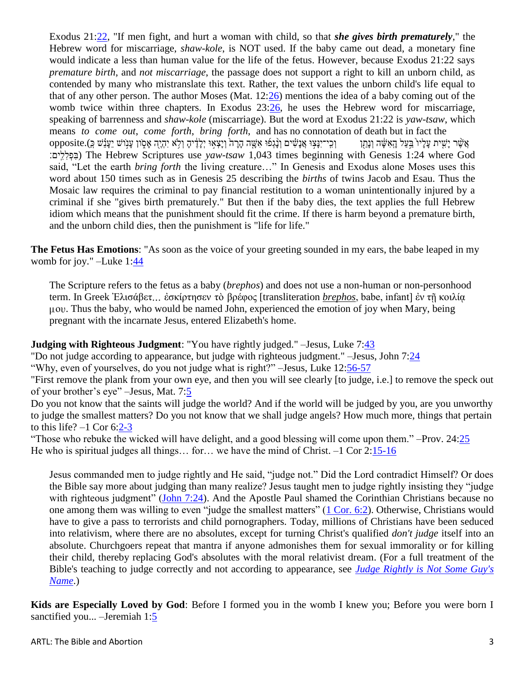Exodus 21[:22,](http://www.biblegateway.com/passage/?search=ex%2021:22;&version=NKJV;) "If men fight, and hurt a woman with child, so that *she gives birth prematurely*," the Hebrew word for miscarriage, *shaw-kole*, is NOT used. If the baby came out dead, a monetary fine would indicate a less than human value for the life of the fetus. However, because Exodus 21:22 says *premature birth*, and *not miscarriage*, the passage does not support a right to kill an unborn child, as contended by many who mistranslate this text. Rather, the text values the unborn child's life equal to that of any other person. The author Moses (Mat. 12[:26\)](http://www.biblegateway.com/passage/?search=Mark%2012:26&version=NKJV) mentions the idea of a baby coming out of the womb twice within three chapters. In Exodus 23[:26,](http://www.biblegateway.com/passage/?search=ex%2023:26&version=NKJV) he uses the Hebrew word for miscarriage, speaking of barrenness and *shaw-kole* (miscarriage). But the word at Exodus 21:22 is *yaw-tsaw*, which means *to come out*, *come forth*, *bring forth*, and has no connotation of death but in fact the ָּאֲשֶׁר יִשִּׁית עַליו בַּעל הָאשֶׂה וְנתן אנֵנשים וְנַגְיִם וְוֹנְצָאוּ יִלְלָיה וְלָא יִהְיֶה אִסְוֹן עִנוֹש יִענֹש כָּ).opposite ים׃ִֽלִ לִ פְ בִ ( The Hebrew Scriptures use *yaw-tsaw* 1,043 times beginning with Genesis 1:24 where God said, "Let the earth *bring forth* the living creature…" In Genesis and Exodus alone Moses uses this word about 150 times such as in Genesis 25 describing the *births* of twins Jacob and Esau. Thus the Mosaic law requires the criminal to pay financial restitution to a woman unintentionally injured by a criminal if she "gives birth prematurely." But then if the baby dies, the text applies the full Hebrew idiom which means that the punishment should fit the crime. If there is harm beyond a premature birth, and the unborn child dies, then the punishment is "life for life."

<span id="page-2-0"></span>**The Fetus Has Emotions**: "As soon as the voice of your greeting sounded in my ears, the babe leaped in my womb for joy." –Luke 1[:44](http://www.biblegateway.com/passage/?search=Luke%201:44&version=NKJV)

The Scripture refers to the fetus as a baby (*brephos*) and does not use a non-human or non-personhood term. In Greek Ἐλισάβετ... ἐσκίρτησεν τὸ βρέφος [transliteration *brephos*, babe, infant] ἐν τῇ κοιλία μου. Thus the baby, who would be named John, experienced the emotion of joy when Mary, being pregnant with the incarnate Jesus, entered Elizabeth's home.

### <span id="page-2-1"></span>**Judging with Righteous Judgment**: "You have rightly judged." –Jesus, Luke 7[:43](http://www.biblegateway.com/passage/?search=Luke%207:43&version=NKJV)

"Do not judge according to appearance, but judge with righteous judgment." –Jesus, John 7[:24](http://www.biblegateway.com/passage/?search=John%207:24&version=NKJV)

"Why, even of yourselves, do you not judge what is right?" –Jesus, Luke 12[:56-57](http://bible.logos.com/passage/nkjv/Luke%2012.56-57)

"First remove the plank from your own eye, and then you will see clearly [to judge, i.e.] to remove the speck out of your brother"s eye" –Jesus, Mat. 7[:5](http://bible.logos.com/passage/nkjv/Mat.%207.5)

Do you not know that the saints will judge the world? And if the world will be judged by you, are you unworthy to judge the smallest matters? Do you not know that we shall judge angels? How much more, things that pertain to this life?  $-1$  Cor 6[:2-3](http://www.biblegateway.com/passage/?search=1%20cor%206:2-3&version=NKJV)

"Those who rebuke the wicked will have delight, and a good blessing will come upon them." –Prov. 24[:25](http://bible.logos.com/passage/nkjv/Prov.%2024.25) He who is spiritual judges all things... for... we have the mind of Christ.  $-1$  Cor 2[:15-16](http://www.biblegateway.com/passage/?search=1%20cor%202:15-16&version=NKJV)

Jesus commanded men to judge rightly and He said, "judge not." Did the Lord contradict Himself? Or does the Bible say more about judging than many realize? Jesus taught men to judge rightly insisting they "judge with righteous judgment" [\(John 7:24\)](http://bible.logos.com/passage/nkjv/John%207.24). And the Apostle Paul shamed the Corinthian Christians because no one among them was willing to even "judge the smallest matters" [\(1 Cor. 6:2\)](http://bible.logos.com/passage/nkjv/1%20Cor.%206.2). Otherwise, Christians would have to give a pass to terrorists and child pornographers. Today, millions of Christians have been seduced into relativism, where there are no absolutes, except for turning Christ's qualified *don't judge* itself into an absolute. Churchgoers repeat that mantra if anyone admonishes them for sexual immorality or for killing their child, thereby replacing God's absolutes with the moral relativist dream. (For a full treatment of the Bible's teaching to judge correctly and not according to appearance, see *Judge Rightly is [Not Some Guy's](http://kgov.com/writings/judge-rightly-not-some-guys-name)  [Name](http://kgov.com/writings/judge-rightly-not-some-guys-name)*.)

**Kids are Especially Loved by God**: Before I formed you in the womb I knew you; Before you were born I sanctified you... –Jeremiah 1[:5](http://www.biblegateway.com/passage/?search=jer%201:5&version=NKJV)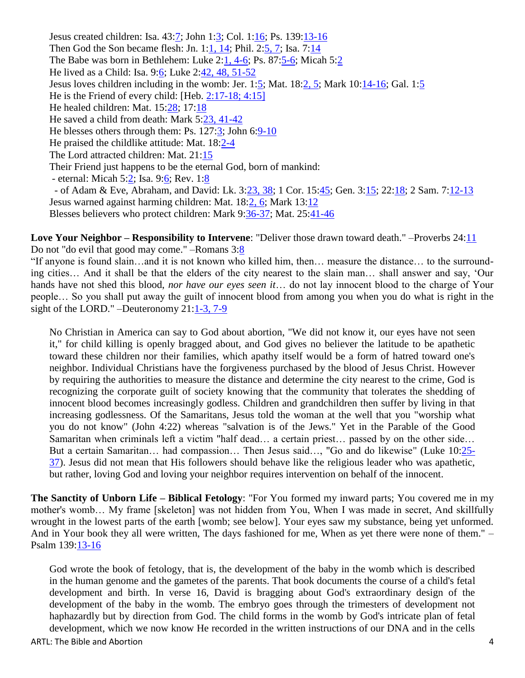<span id="page-3-0"></span>Jesus created children: Isa. 43[:7;](http://www.biblegateway.com/passage/?search=Isaiah%2043:7&version=NKJV) John 1[:3;](http://www.biblegateway.com/passage/?search=john%201:3&version=NKJV) Col. 1[:16;](http://www.biblegateway.com/passage/?search=col%201:16&version=NKJV) Ps. 139[:13-16](http://www.biblegateway.com/passage/?search=ps%20139:13-16&version=NKJV) Then God the Son became flesh: Jn. 1[:1, 14;](http://www.biblegateway.com/passage/?search=john%201:1,%2014&version=NKJV) Phil. 2[:5, 7;](http://www.biblegateway.com/passage/?search=phil%202:5,%207&version=NKJV) Isa. 7[:14](http://www.biblegateway.com/passage/?search=isa%207:14&version=NKJV) The Babe was born in Bethlehem: Luke 2[:1, 4-6;](http://www.biblegateway.com/passage/?search=luke%202:1;%20Luke%202:4-6&version=NKJV) Ps. 87[:5-6;](http://www.biblegateway.com/passage/?search=ps%2087:5-6&version=NKJV) Micah 5[:2](http://www.biblegateway.com/passage/?search=micah%205:2&version=NKJV) He lived as a Child: Isa. 9[:6;](http://www.biblegateway.com/passage/?search=isa%209:6&version=NKJV) Luke 2[:42, 48, 51-52](http://www.biblegateway.com/passage/?search=luke%202:42,%2048;%20luke%202:51-52&version=NKJV) Jesus loves children including in the womb: Jer. 1[:5;](http://www.biblegateway.com/passage/?search=jer%201:5&version=NKJV) Mat. 18[:2, 5;](http://www.biblegateway.com/passage/?search=mat%2018:2,%205&version=NKJV) Mark 10: $\frac{14-16}{}$ ; Gal. 1[:5](http://www.biblegateway.com/passage/?search=gal%201:15&version=NKJV) He is the Friend of every child: [Heb. [2:17-18; 4:15\]](http://www.biblegateway.com/passage/?search=Hebrews%202:17-18,Hebrews%204:15&version=NKJV) He healed children: Mat. 15[:28;](http://www.biblegateway.com/passage/?search=mat%2015:28&version=NKJV) 17[:18](http://www.biblegateway.com/passage/?search=mat%2017:18&version=NKJV) He saved a child from death: Mark 5[:23, 41-42](http://www.biblegateway.com/passage/?search=mark%205:23,%2041-42&version=NKJV) He blesses others through them: Ps. 127[:3;](http://www.biblegateway.com/passage/?search=ps%20127:3&version=NKJV) John 6[:9-10](http://www.biblegateway.com/passage/?search=john%206:9-10&version=NKJV) He praised the childlike attitude: Mat. 18[:2-4](http://www.biblegateway.com/passage/?search=mat%2018:2-4&version=NKJV) The Lord attracted children: Mat. 21[:15](http://www.biblegateway.com/passage/?search=mat%2021:15&version=NKJV) Their Friend just happens to be the eternal God, born of mankind: - eternal: Micah 5[:2;](http://www.biblegateway.com/passage/?search=micah%205:2&version=NKJV) Isa. 9[:6;](http://www.biblegateway.com/passage/?search=isa%209:6&version=NKJV) Rev. 1[:8](http://www.biblegateway.com/passage/?search=rev%201:8&version=NKJV) - of Adam & Eve, Abraham, and David: Lk. 3[:23, 38;](http://www.biblegateway.com/passage/?search=luke%203:23,%2038&version=NKJV) 1 Cor. 15[:45;](http://www.biblegateway.com/passage/?search=1%20cor%2015:45&version=NKJV) Gen. 3[:15;](http://www.biblegateway.com/passage/?search=gen%203:15&version=NKJV) 22[:18;](http://www.biblegateway.com/passage/?search=gen%2022:18&version=NKJV) 2 Sam. 7[:12-13](http://www.biblegateway.com/passage/?search=2%20sam%207:12-13&version=NKJV) Jesus warned against harming children: Mat. 18[:2, 6;](http://www.biblegateway.com/passage/?search=mat%2018:2,%206&version=NKJV) Mark 13[:12](http://www.biblegateway.com/passage/?search=mark%2013:12&version=NKJV) Blesses believers who protect children: Mark 9[:36-37;](http://www.biblegateway.com/passage/?search=mark%209:36-37&version=NKJV) Mat. 25[:41-46](http://www.biblegateway.com/passage/?search=mat.%2025:41-46&version=NKJV)

**Love Your Neighbor – Responsibility to Intervene:** "Deliver those drawn toward death." –Proverbs 24[:11](http://www.biblegateway.com/passage/?search=Pro%2024:11&version=NKJV) Do not "do evil that good may come." –Romans 3[:8](http://www.biblegateway.com/passage/?search=Romans%203:8&version=NKJV)

"If anyone is found slain…and it is not known who killed him, then… measure the distance… to the surrounding cities… And it shall be that the elders of the city nearest to the slain man… shall answer and say, "Our hands have not shed this blood, *nor have our eyes seen it*… do not lay innocent blood to the charge of Your people… So you shall put away the guilt of innocent blood from among you when you do what is right in the sight of the LORD." –Deuteronomy 21[:1-3, 7-9](http://www.biblegateway.com/passage/?search=deut%2021:1-2,%207-9&version=NKJV)

No Christian in America can say to God about abortion, "We did not know it, our eyes have not seen it," for child killing is openly bragged about, and God gives no believer the latitude to be apathetic toward these children nor their families, which apathy itself would be a form of hatred toward one's neighbor. Individual Christians have the forgiveness purchased by the blood of Jesus Christ. However by requiring the authorities to measure the distance and determine the city nearest to the crime, God is recognizing the corporate guilt of society knowing that the community that tolerates the shedding of innocent blood becomes increasingly godless. Children and grandchildren then suffer by living in that increasing godlessness. Of the Samaritans, Jesus told the woman at the well that you "worship what you do not know" (John 4:22) whereas "salvation is of the Jews." Yet in the Parable of the Good Samaritan when criminals left a victim "half dead… a certain priest… passed by on the other side… But a certain Samaritan... had compassion... Then Jesus said..., "Go and do likewise" (Luke 10[:25-](http://www.biblegateway.com/passage/?search=Luke%2010:25-37&version=NKJV) [37\)](http://www.biblegateway.com/passage/?search=Luke%2010:25-37&version=NKJV). Jesus did not mean that His followers should behave like the religious leader who was apathetic, but rather, loving God and loving your neighbor requires intervention on behalf of the innocent.

<span id="page-3-1"></span>**The Sanctity of Unborn Life – Biblical Fetology**: "For You formed my inward parts; You covered me in my mother's womb… My frame [skeleton] was not hidden from You, When I was made in secret, And skillfully wrought in the lowest parts of the earth [womb; see below]. Your eyes saw my substance, being yet unformed. And in Your book they all were written, The days fashioned for me, When as yet there were none of them." – Psalm 139[:13-16](http://www.biblegateway.com/passage/?search=psalm%20139:13-16&version=NKJV)

God wrote the book of fetology, that is, the development of the baby in the womb which is described in the human genome and the gametes of the parents. That book documents the course of a child's fetal development and birth. In verse 16, David is bragging about God's extraordinary design of the development of the baby in the womb. The embryo goes through the trimesters of development not haphazardly but by direction from God. The child forms in the womb by God's intricate plan of fetal development, which we now know He recorded in the written instructions of our DNA and in the cells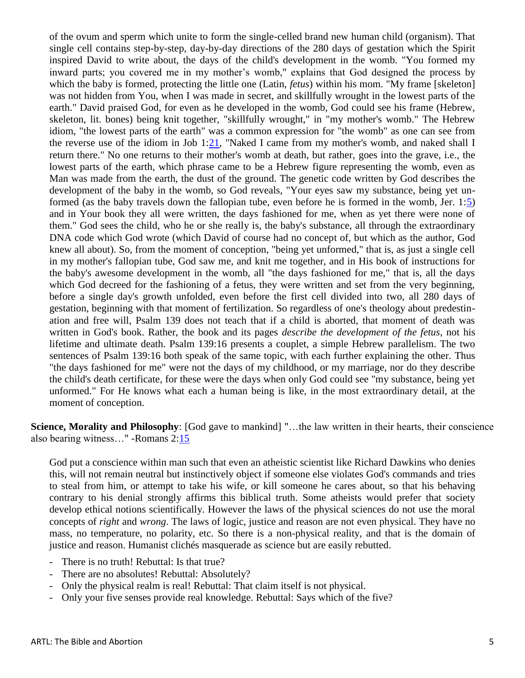of the ovum and sperm which unite to form the single-celled brand new human child (organism). That single cell contains step-by-step, day-by-day directions of the 280 days of gestation which the Spirit inspired David to write about, the days of the child's development in the womb. "You formed my inward parts; you covered me in my mother's womb," explains that God designed the process by which the baby is formed, protecting the little one (Latin, *fetus*) within his mom. "My frame [skeleton] was not hidden from You, when I was made in secret, and skillfully wrought in the lowest parts of the earth." David praised God, for even as he developed in the womb, God could see his frame (Hebrew, skeleton, lit. bones) being knit together, "skillfully wrought," in "my mother's womb." The Hebrew idiom, "the lowest parts of the earth" was a common expression for "the womb" as one can see from the reverse use of the idiom in Job 1[:21,](http://www.biblegateway.com/passage/?search=job%201:21&version=NKJV) "Naked I came from my mother's womb, and naked shall I return there." No one returns to their mother's womb at death, but rather, goes into the grave, i.e., the lowest parts of the earth, which phrase came to be a Hebrew figure representing the womb, even as Man was made from the earth, the dust of the ground. The genetic code written by God describes the development of the baby in the womb, so God reveals, "Your eyes saw my substance, being yet unformed (as the baby travels down the fallopian tube, even before he is formed in the womb, Jer.  $1:5$ ) and in Your book they all were written, the days fashioned for me, when as yet there were none of them." God sees the child, who he or she really is, the baby's substance, all through the extraordinary DNA code which God wrote (which David of course had no concept of, but which as the author, God knew all about). So, from the moment of conception, "being yet unformed," that is, as just a single cell in my mother's fallopian tube, God saw me, and knit me together, and in His book of instructions for the baby's awesome development in the womb, all "the days fashioned for me," that is, all the days which God decreed for the fashioning of a fetus, they were written and set from the very beginning, before a single day's growth unfolded, even before the first cell divided into two, all 280 days of gestation, beginning with that moment of fertilization. So regardless of one's theology about predestination and free will, Psalm 139 does not teach that if a child is aborted, that moment of death was written in God's book. Rather, the book and its pages *describe the development of the fetus*, not his lifetime and ultimate death. Psalm 139:16 presents a couplet, a simple Hebrew parallelism. The two sentences of Psalm 139:16 both speak of the same topic, with each further explaining the other. Thus "the days fashioned for me" were not the days of my childhood, or my marriage, nor do they describe the child's death certificate, for these were the days when only God could see "my substance, being yet unformed." For He knows what each a human being is like, in the most extraordinary detail, at the moment of conception.

<span id="page-4-0"></span>**Science, Morality and Philosophy**: [God gave to mankind] "...the law written in their hearts, their conscience also bearing witness…" -Romans 2[:15](http://www.biblegateway.com/passage/?search=Romans%202:15&version=NKJV)

God put a conscience within man such that even an atheistic scientist like Richard Dawkins who denies this, will not remain neutral but instinctively object if someone else violates God's commands and tries to steal from him, or attempt to take his wife, or kill someone he cares about, so that his behaving contrary to his denial strongly affirms this biblical truth. Some atheists would prefer that society develop ethical notions scientifically. However the laws of the physical sciences do not use the moral concepts of *right* and *wrong*. The laws of logic, justice and reason are not even physical. They have no mass, no temperature, no polarity, etc. So there is a non-physical reality, and that is the domain of justice and reason. Humanist clichés masquerade as science but are easily rebutted.

- There is no truth! Rebuttal: Is that true?
- There are no absolutes! Rebuttal: Absolutely?
- Only the physical realm is real! Rebuttal: That claim itself is not physical.
- Only your five senses provide real knowledge. Rebuttal: Says which of the five?